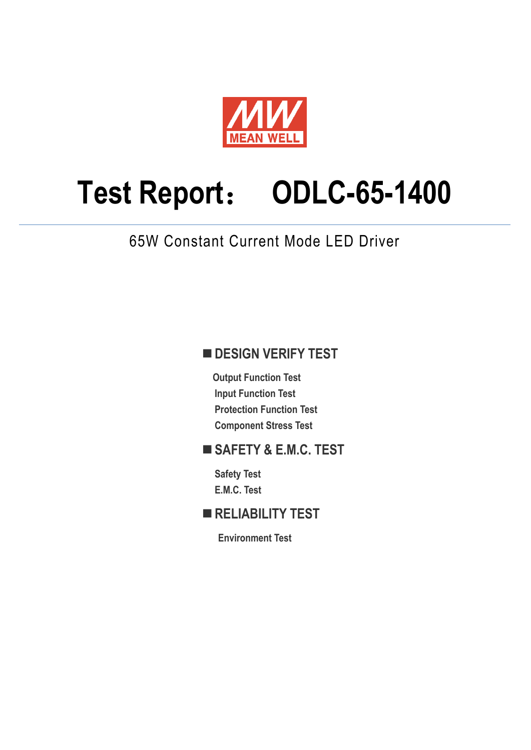

# **Test Report**: **ODLC-65-1400**

65W Constant Current Mode LED Driver

### **DESIGN VERIFY TEST**

**Output Function Test Input Function Test Protection Function Test Component Stress Test** 

### **SAFETY & E.M.C. TEST**

**Safety Test E.M.C. Test** 

### **RELIABILITY TEST**

**Environment Test**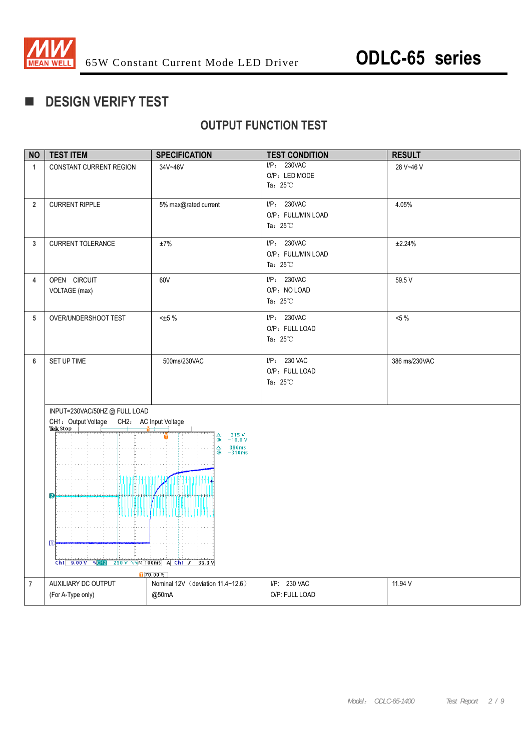

### **DESIGN VERIFY TEST**

### **OUTPUT FUNCTION TEST**

| <b>NO</b>      | <b>TEST ITEM</b>                                                                                                                                                                                                                                                                         | <b>SPECIFICATION</b>              | <b>TEST CONDITION</b>                                   | <b>RESULT</b> |  |
|----------------|------------------------------------------------------------------------------------------------------------------------------------------------------------------------------------------------------------------------------------------------------------------------------------------|-----------------------------------|---------------------------------------------------------|---------------|--|
| $\mathbf{1}$   | CONSTANT CURRENT REGION                                                                                                                                                                                                                                                                  | 34V~46V                           | I/P: 230VAC<br>O/P: LED MODE<br>Ta: $25^{\circ}$ C      | 28 V~46 V     |  |
| $\overline{2}$ | <b>CURRENT RIPPLE</b>                                                                                                                                                                                                                                                                    | 5% max@rated current              | I/P: 230VAC<br>O/P: FULL/MIN LOAD<br>Ta: $25^{\circ}$ C | 4.05%         |  |
| $\mathbf{3}$   | <b>CURRENT TOLERANCE</b>                                                                                                                                                                                                                                                                 | ±7%                               | I/P: 230VAC<br>O/P: FULL/MIN LOAD<br>Ta: $25^{\circ}$ C | ±2.24%        |  |
| $\overline{4}$ | OPEN CIRCUIT<br>VOLTAGE (max)                                                                                                                                                                                                                                                            | 60V                               | I/P: 230VAC<br>O/P: NO LOAD<br>Ta: $25^{\circ}$ C       | 59.5 V        |  |
| 5              | OVER/UNDERSHOOT TEST                                                                                                                                                                                                                                                                     | $\pm 5\%$                         | I/P: 230VAC<br>O/P: FULL LOAD<br>Ta: $25^{\circ}$ C     | $<5\%$        |  |
| $6\phantom{1}$ | SET UP TIME                                                                                                                                                                                                                                                                              | 500ms/230VAC                      | I/P: 230 VAC<br>O/P: FULL LOAD<br>Ta: $25^{\circ}$ C    | 386 ms/230VAC |  |
|                | INPUT=230VAC/50HZ@FULLLOAD<br>CH1: Output Voltage CH2: AC Input Voltage<br>Tek Stop<br>$\Delta$ : 315 V<br>$\circledcirc$ : -10.0 V<br>$\Delta: 386ms$<br>$@: -310ms$<br>1110111<br>2<br>THUU<br>$\mathbb{D}$<br>Ch1 9.00 V $\sqrt{c}$ 250 V $\sqrt{N}$ 100ms A Ch1 $J$ 35.3 V<br>70.00% |                                   |                                                         |               |  |
| $\overline{7}$ | AUXILIARY DC OUTPUT                                                                                                                                                                                                                                                                      | Nominal 12V (deviation 11.4~12.6) | I/P: 230 VAC                                            | 11.94 V       |  |
|                | (For A-Type only)                                                                                                                                                                                                                                                                        | @50mA                             | O/P: FULL LOAD                                          |               |  |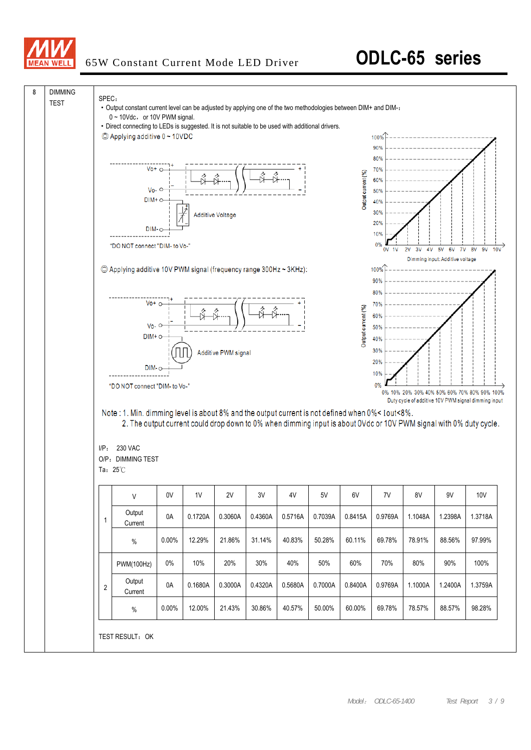

## 65W Constant Current Mode LED Driver **ODLC-65 series**

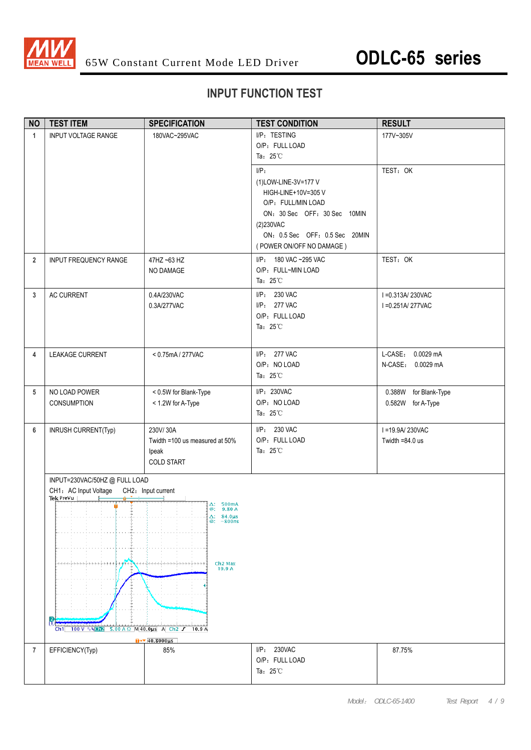

### **INPUT FUNCTION TEST**

| <b>NO</b>      | <b>TEST ITEM</b>                                                                                                | <b>SPECIFICATION</b>                                                                                                                                                   | <b>TEST CONDITION</b>                                                                                                                                                                | <b>RESULT</b>                              |
|----------------|-----------------------------------------------------------------------------------------------------------------|------------------------------------------------------------------------------------------------------------------------------------------------------------------------|--------------------------------------------------------------------------------------------------------------------------------------------------------------------------------------|--------------------------------------------|
| $\mathbf{1}$   | <b>INPUT VOLTAGE RANGE</b>                                                                                      | 180VAC~295VAC                                                                                                                                                          | I/P: TESTING<br>O/P: FULL LOAD<br>Ta: $25^{\circ}$ C                                                                                                                                 | 177V~305V                                  |
|                |                                                                                                                 |                                                                                                                                                                        | I/P:<br>(1)LOW-LINE-3V=177 V<br>HIGH-LINE+10V=305 V<br>O/P: FULL/MIN LOAD<br>ON: 30 Sec OFF: 30 Sec 10MIN<br>(2)230VAC<br>ON: 0.5 Sec OFF: 0.5 Sec 20MIN<br>(POWER ON/OFF NO DAMAGE) | TEST: OK                                   |
| $\overline{2}$ | INPUT FREQUENCY RANGE                                                                                           | 47HZ ~63 HZ<br>NO DAMAGE                                                                                                                                               | I/P: 180 VAC ~295 VAC<br>O/P: FULL~MIN LOAD<br>Ta: $25^{\circ}$ C                                                                                                                    | TEST: OK                                   |
| 3              | AC CURRENT                                                                                                      | 0.4A/230VAC<br>0.3A/277VAC                                                                                                                                             | I/P: 230 VAC<br>I/P: 277 VAC<br>O/P: FULL LOAD<br>Ta: $25^{\circ}$ C                                                                                                                 | I = 0.313A/230VAC<br>I = 0.251A/277VAC     |
| 4              | LEAKAGE CURRENT                                                                                                 | < 0.75mA / 277VAC                                                                                                                                                      | I/P: 277 VAC<br>O/P: NO LOAD<br>Ta: $25^{\circ}$ C                                                                                                                                   | L-CASE: 0.0029 mA<br>N-CASE: 0.0029 mA     |
| 5              | NO LOAD POWER<br><b>CONSUMPTION</b>                                                                             | < 0.5W for Blank-Type<br>< 1.2W for A-Type                                                                                                                             | I/P: 230VAC<br>O/P: NO LOAD<br>Ta: $25^{\circ}$ C                                                                                                                                    | 0.388W for Blank-Type<br>0.582W for A-Type |
| 6              | INRUSH CURRENT(Typ)                                                                                             | 230V/30A<br>Twidth =100 us measured at 50%<br>lpeak<br><b>COLD START</b>                                                                                               | I/P: 230 VAC<br>O/P: FULL LOAD<br>Ta: $25^{\circ}$ C                                                                                                                                 | I = 19.9A/230VAC<br>Twidth $=84.0$ us      |
|                | INPUT=230VAC/50HZ @ FULL LOAD<br>CH1: AC Input Voltage CH2: Input current<br>Tek Prevu<br>ĥ<br>Ch1 100 V ∿% Ch2 | $\Delta$ : 500mA<br>@: 9.80 A<br>$\Delta$ : 84.0µs<br>$@: -800$ ns<br>Ch <sub>2</sub> Max<br>19.9A<br>$5.00 A \Omega$ M 40.0us A Ch2 J 10.9 A<br>$1+1$ 40.8000 $\mu$ s |                                                                                                                                                                                      |                                            |
| 7              | EFFICIENCY(Typ)                                                                                                 | 85%                                                                                                                                                                    | I/P: 230VAC<br>O/P: FULL LOAD<br>Ta: $25^{\circ}$ C                                                                                                                                  | 87.75%                                     |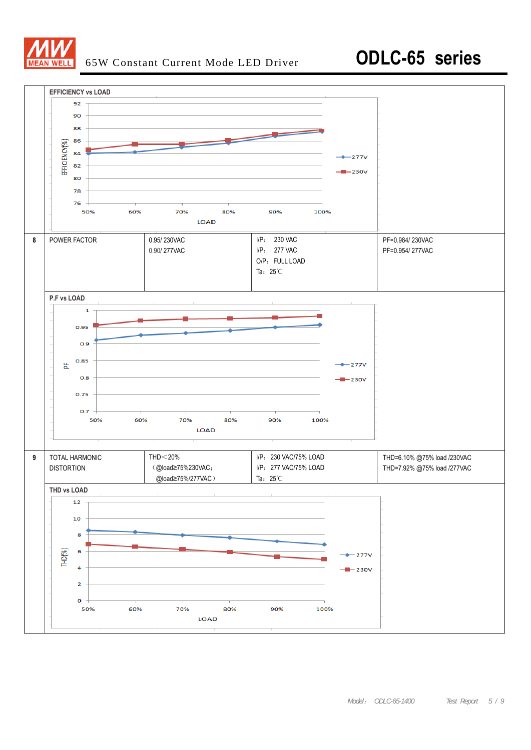

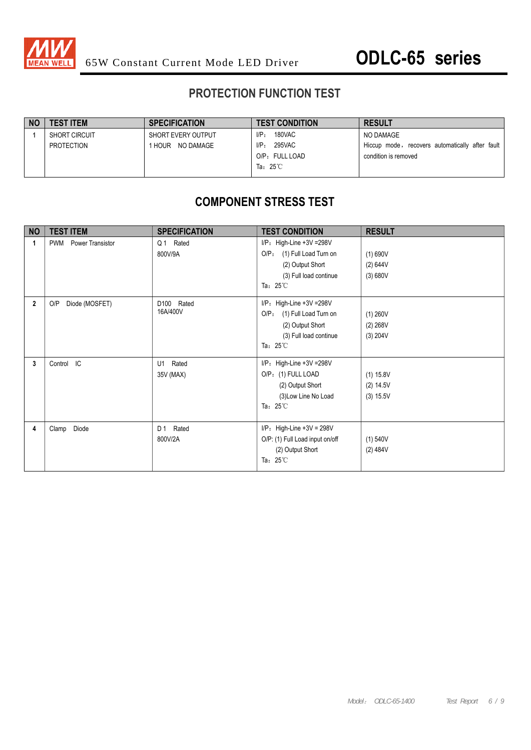

### **PROTECTION FUNCTION TEST**

| TEST ITEM            | <b>SPECIFICATION</b> | <b>TEST CONDITION</b> | <b>RESULT</b>                                   |
|----------------------|----------------------|-----------------------|-------------------------------------------------|
| <b>SHORT CIRCUIT</b> | SHORT EVERY OUTPUT   | 180VAC<br>$I/P_{\pm}$ | NO DAMAGE                                       |
| PROTECTION           | HOUR NO DAMAGE       | 295VAC<br>$I/P$ :     | Hiccup mode, recovers automatically after fault |
|                      |                      | O/P: FULL LOAD        | condition is removed                            |
|                      |                      | Ta: $25^{\circ}$ C    |                                                 |

### **COMPONENT STRESS TEST**

| <b>NO</b>   | <b>TEST ITEM</b>                      | <b>SPECIFICATION</b>     | <b>TEST CONDITION</b>                                                                                                                         | <b>RESULT</b>                         |
|-------------|---------------------------------------|--------------------------|-----------------------------------------------------------------------------------------------------------------------------------------------|---------------------------------------|
| 1           | <b>Power Transistor</b><br><b>PWM</b> | Q1 Rated<br>800V/9A      | $I/P$ : High-Line +3V = 298V<br>(1) Full Load Turn on<br>O/P <sub>z</sub><br>(2) Output Short<br>(3) Full load continue<br>Ta: $25^{\circ}$ C | (1) 690V<br>(2) 644V<br>(3) 680V      |
| $\mathbf 2$ | O/P<br>Diode (MOSFET)                 | D100 Rated<br>16A/400V   | $I/P$ : High-Line +3V = 298V<br>$O/P$ :<br>(1) Full Load Turn on<br>(2) Output Short<br>(3) Full load continue<br>Ta: $25^{\circ}$ C          | (1) 260V<br>(2) 268V<br>(3) 204V      |
| 3           | Control IC                            | Rated<br>U1<br>35V (MAX) | $I/P$ : High-Line +3V = 298V<br>O/P: (1) FULL LOAD<br>(2) Output Short<br>(3) Low Line No Load<br>Ta: $25^{\circ}$ C                          | (1) 15.8V<br>(2) 14.5V<br>$(3)$ 15.5V |
| 4           | Clamp Diode                           | D 1<br>Rated<br>800V/2A  | $I/P$ : High-Line +3V = 298V<br>O/P: (1) Full Load input on/off<br>(2) Output Short<br>Ta: $25^{\circ}$ C                                     | (1) 540V<br>(2) 484V                  |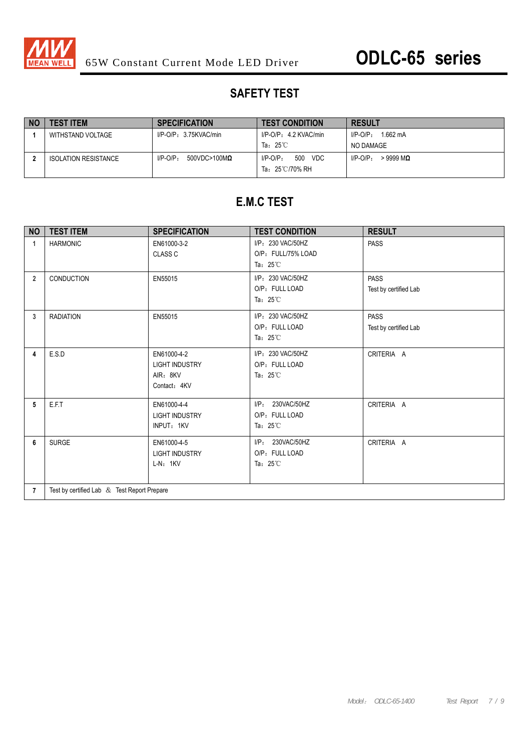

### **SAFETY TEST**

| NO | <b>TEST ITEM</b>            | <b>SPECIFICATION</b>                   | <b>TEST CONDITION</b>                       | <b>RESULT</b>             |
|----|-----------------------------|----------------------------------------|---------------------------------------------|---------------------------|
|    | WITHSTAND VOLTAGE           | $I/P$ -O/P: 3.75KVAC/min               | I/P-O/P: 4.2 KVAC/min                       | 1.662 mA<br>$I/P-O/P$ :   |
|    |                             |                                        | Ta: $25^{\circ}$ C                          | NO DAMAGE                 |
|    | <b>ISOLATION RESISTANCE</b> | $I/P-O/P$ :<br>$500$ VDC>100M $\Omega$ | VDC<br>500<br>$I/P$ -O/P:<br>Ta: 25℃/70% RH | $>9999$ MQ<br>$I/P$ -O/P: |

### **E.M.C TEST**

| <b>NO</b>      | <b>TEST ITEM</b>                            | <b>SPECIFICATION</b>                                             | <b>TEST CONDITION</b>                                          | <b>RESULT</b>                        |  |
|----------------|---------------------------------------------|------------------------------------------------------------------|----------------------------------------------------------------|--------------------------------------|--|
| $\mathbf{1}$   | <b>HARMONIC</b>                             | EN61000-3-2<br><b>CLASS C</b>                                    | I/P: 230 VAC/50HZ<br>O/P: FULL/75% LOAD<br>Ta: $25^{\circ}$ C  | <b>PASS</b>                          |  |
| $\overline{2}$ | CONDUCTION                                  | EN55015                                                          | I/P: 230 VAC/50HZ<br>O/P: FULL LOAD<br>Ta: $25^{\circ}$ C      | <b>PASS</b><br>Test by certified Lab |  |
| 3              | <b>RADIATION</b>                            | EN55015                                                          | I/P: 230 VAC/50HZ<br>O/P: FULL LOAD<br>Ta: $25^{\circ}$ C      | <b>PASS</b><br>Test by certified Lab |  |
| 4              | E.S.D                                       | EN61000-4-2<br><b>LIGHT INDUSTRY</b><br>AIR: 8KV<br>Contact: 4KV | I/P: 230 VAC/50HZ<br>O/P: FULL LOAD<br>Ta: $25^{\circ}$ C      | CRITERIA A                           |  |
| 5              | E.F.T                                       | EN61000-4-4<br><b>LIGHT INDUSTRY</b><br>INPUT: 1KV               | I/P: 230VAC/50HZ<br>O/P: FULL LOAD<br>Ta: $25^{\circ}$ C       | CRITERIA A                           |  |
| 6              | <b>SURGE</b>                                | EN61000-4-5<br><b>LIGHT INDUSTRY</b><br>$L-N: 1KV$               | 230VAC/50HZ<br>$I/P$ :<br>O/P: FULL LOAD<br>Ta: $25^{\circ}$ C | CRITERIA A                           |  |
| $\overline{7}$ | Test by certified Lab & Test Report Prepare |                                                                  |                                                                |                                      |  |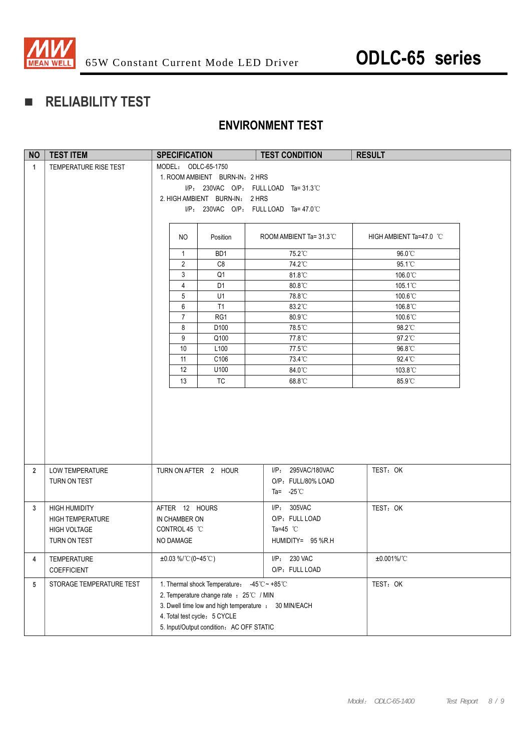

### **RELIABILITY TEST**

### **ENVIRONMENT TEST**

| <b>NO</b>      | <b>TEST ITEM</b>                                                                       | <b>SPECIFICATION</b>                                                                                                                                                                                                      | <b>TEST CONDITION</b>                                                    | <b>RESULT</b>           |
|----------------|----------------------------------------------------------------------------------------|---------------------------------------------------------------------------------------------------------------------------------------------------------------------------------------------------------------------------|--------------------------------------------------------------------------|-------------------------|
| $\mathbf{1}$   | TEMPERATURE RISE TEST                                                                  | MODEL: ODLC-65-1750                                                                                                                                                                                                       |                                                                          |                         |
|                |                                                                                        | 1. ROOM AMBIENT BURN-IN: 2 HRS                                                                                                                                                                                            |                                                                          |                         |
|                |                                                                                        |                                                                                                                                                                                                                           | $I/P$ : 230VAC O/P: FULL LOAD Ta=31.3°C                                  |                         |
|                |                                                                                        | 2. HIGH AMBIENT BURN-IN: 2 HRS                                                                                                                                                                                            |                                                                          |                         |
|                |                                                                                        |                                                                                                                                                                                                                           | $I/P$ : 230VAC O/P: FULL LOAD Ta=47.0 °C                                 |                         |
|                |                                                                                        | NO.<br>Position                                                                                                                                                                                                           | ROOM AMBIENT Ta= $31.3^{\circ}$ C                                        | HIGH AMBIENT Ta=47.0 °C |
|                |                                                                                        |                                                                                                                                                                                                                           |                                                                          | 96.0°C                  |
|                |                                                                                        | BD1<br>$\mathbf{1}$<br>$\overline{2}$<br>C <sub>8</sub>                                                                                                                                                                   | 75.2°C<br>74.2°C                                                         | 95.1°C                  |
|                |                                                                                        | 3<br>Q <sub>1</sub>                                                                                                                                                                                                       | 81.8°C                                                                   | 106.0°C                 |
|                |                                                                                        | $\overline{4}$<br>D <sub>1</sub>                                                                                                                                                                                          | 80.8°C                                                                   | 105.1°C                 |
|                |                                                                                        | 5<br>U1                                                                                                                                                                                                                   | 78.8°C                                                                   | 100.6°C                 |
|                |                                                                                        | 6<br>T1                                                                                                                                                                                                                   | 83.2°C                                                                   | 106.8°C                 |
|                |                                                                                        | $\overline{7}$<br>RG1                                                                                                                                                                                                     | 80.9°C                                                                   | 100.6°C                 |
|                |                                                                                        | 8<br>D <sub>100</sub>                                                                                                                                                                                                     | 78.5°C                                                                   | 98.2°C                  |
|                |                                                                                        | 9<br>Q100                                                                                                                                                                                                                 | 77.8°C                                                                   | 97.2°C                  |
|                |                                                                                        | 10<br>L <sub>100</sub>                                                                                                                                                                                                    | 77.5°C                                                                   | 96.8°C                  |
|                |                                                                                        | 11<br>C106                                                                                                                                                                                                                | 73.4°C                                                                   | $92.4^{\circ}$ C        |
|                |                                                                                        | 12<br>U100                                                                                                                                                                                                                | 84.0°C                                                                   | 103.8°C                 |
|                |                                                                                        | 13<br><b>TC</b>                                                                                                                                                                                                           | 68.8°C                                                                   | 85.9°C                  |
|                |                                                                                        |                                                                                                                                                                                                                           |                                                                          |                         |
| $\overline{2}$ | LOW TEMPERATURE                                                                        | TURN ON AFTER 2 HOUR                                                                                                                                                                                                      | I/P: 295VAC/180VAC                                                       | TEST: OK                |
|                | TURN ON TEST                                                                           |                                                                                                                                                                                                                           | O/P: FULL/80% LOAD                                                       |                         |
|                |                                                                                        |                                                                                                                                                                                                                           | Ta= $-25^{\circ}$ C                                                      |                         |
| 3              | <b>HIGH HUMIDITY</b><br><b>HIGH TEMPERATURE</b><br><b>HIGH VOLTAGE</b><br>TURN ON TEST | AFTER 12 HOURS<br>IN CHAMBER ON<br>CONTROL 45 °C<br>NO DAMAGE                                                                                                                                                             | I/P: 305VAC<br>O/P: FULL LOAD<br>Ta=45 $^{\circ}$ C<br>HUMIDITY= 95 %R.H | TEST: OK                |
| 4              | TEMPERATURE<br>COEFFICIENT                                                             | $\pm 0.03\%$ /°C (0~45°C)                                                                                                                                                                                                 | I/P: 230 VAC<br>O/P: FULL LOAD                                           | $±0.001\%$ /°C          |
| 5              | STORAGE TEMPERATURE TEST                                                               | 1. Thermal shock Temperature: -45°C ~ +85°C<br>2. Temperature change rate : 25℃ / MIN<br>3. Dwell time low and high temperature : 30 MIN/EACH<br>4. Total test cycle: 5 CYCLE<br>5. Input/Output condition: AC OFF STATIC |                                                                          | TEST: OK                |